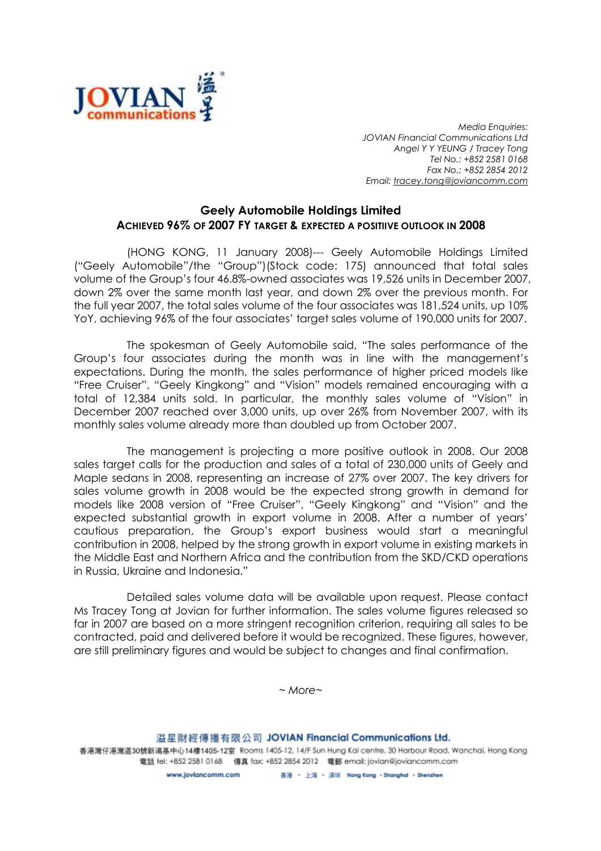

Media Enquiries: JOVIAN Financial Communications Ltd Angel Y Y YEUNG / Tracey Tong Tel No.: +852 2581 0168 Fax No.: +852 2854 2012 Email: tracey.tong@joviancomm.com

## Geely Automobile Holdings Limited ACHIEVED 96% OF 2007 FY TARGET & EXPECTED A POSITIIVE OUTLOOK IN 2008

(HONG KONG, 11 January 2008)--- Geely Automobile Holdings Limited ("Geely Automobile"/the "Group")(Stock code: 175) announced that total sales volume of the Group's four 46.8%-owned associates was 19,526 units in December 2007, down 2% over the same month last year, and down 2% over the previous month. For the full year 2007, the total sales volume of the four associates was 181,524 units, up 10% YoY, achieving 96% of the four associates' target sales volume of 190,000 units for 2007.

The spokesman of Geely Automobile said, "The sales performance of the Group's four associates during the month was in line with the management's expectations. During the month, the sales performance of higher priced models like "Free Cruiser", "Geely Kingkong" and "Vision" models remained encouraging with a total of 12,384 units sold. In particular, the monthly sales volume of "Vision" in December 2007 reached over 3,000 units, up over 26% from November 2007, with its monthly sales volume already more than doubled up from October 2007.

The management is projecting a more positive outlook in 2008. Our 2008 sales target calls for the production and sales of a total of 230,000 units of Geely and Maple sedans in 2008, representing an increase of 27% over 2007. The key drivers for sales volume growth in 2008 would be the expected strong growth in demand for models like 2008 version of "Free Cruiser", "Geely Kingkong" and "Vision" and the expected substantial growth in export volume in 2008. After a number of years' cautious preparation, the Group's export business would start a meaningful contribution in 2008, helped by the strong growth in export volume in existing markets in the Middle East and Northern Africa and the contribution from the SKD/CKD operations in Russia, Ukraine and Indonesia."

Detailed sales volume data will be available upon request. Please contact Ms Tracey Tong at Jovian for further information. The sales volume figures released so far in 2007 are based on a more stringent recognition criterion, requiring all sales to be contracted, paid and delivered before it would be recognized. These figures, however, are still preliminary figures and would be subject to changes and final confirmation.

~ More~